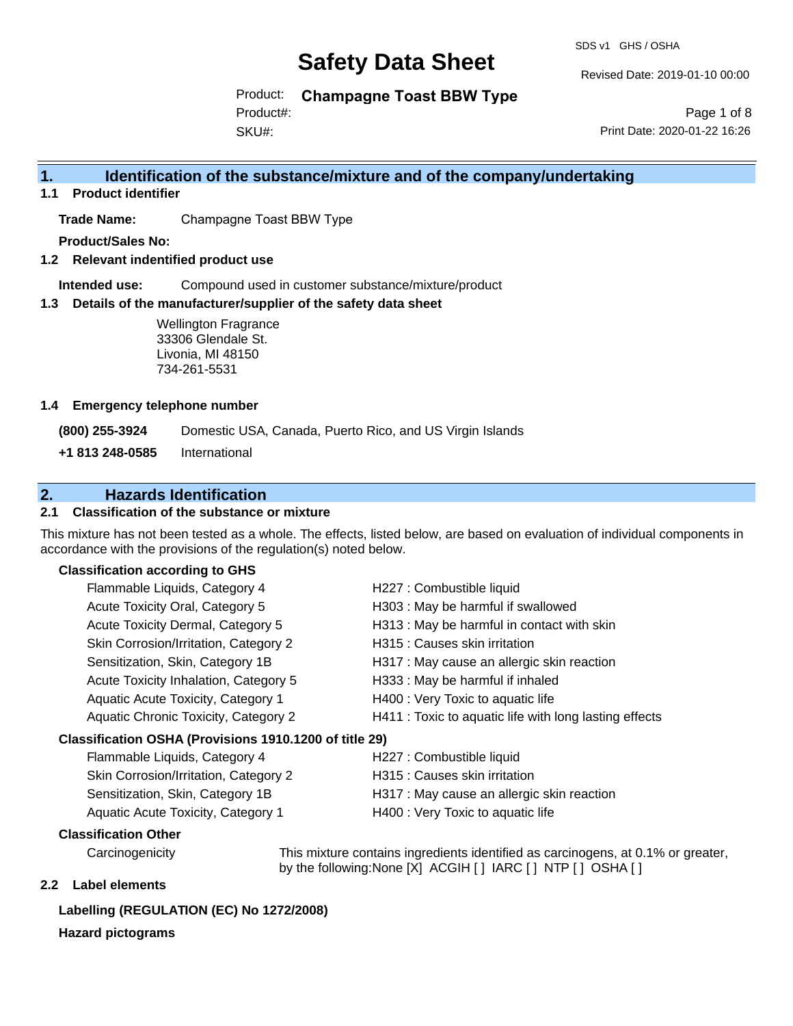SDS v1 GHS / OSHA

Revised Date: 2019-01-10 00:00

Product: **Champagne Toast BBW Type**

SKU#: Product#:

Page 1 of 8 Print Date: 2020-01-22 16:26

### **1. Identification of the substance/mixture and of the company/undertaking**

**1.1 Product identifier**

**Trade Name:** Champagne Toast BBW Type

**Product/Sales No:**

**1.2 Relevant indentified product use**

**Intended use:** Compound used in customer substance/mixture/product

**1.3 Details of the manufacturer/supplier of the safety data sheet**

Wellington Fragrance 33306 Glendale St. Livonia, MI 48150 734-261-5531

#### **1.4 Emergency telephone number**

**(800) 255-3924** Domestic USA, Canada, Puerto Rico, and US Virgin Islands

**+1 813 248-0585** International

### **2. Hazards Identification**

#### **2.1 Classification of the substance or mixture**

This mixture has not been tested as a whole. The effects, listed below, are based on evaluation of individual components in accordance with the provisions of the regulation(s) noted below.

#### **Classification according to GHS**

| Flammable Liquids, Category 4                                                                                                                                                                                                                                                                                                                                             | H227 : Combustible liquid                              |  |  |
|---------------------------------------------------------------------------------------------------------------------------------------------------------------------------------------------------------------------------------------------------------------------------------------------------------------------------------------------------------------------------|--------------------------------------------------------|--|--|
| Acute Toxicity Oral, Category 5                                                                                                                                                                                                                                                                                                                                           | H303 : May be harmful if swallowed                     |  |  |
| Acute Toxicity Dermal, Category 5                                                                                                                                                                                                                                                                                                                                         | H313 : May be harmful in contact with skin             |  |  |
| Skin Corrosion/Irritation, Category 2                                                                                                                                                                                                                                                                                                                                     | H315 : Causes skin irritation                          |  |  |
| Sensitization, Skin, Category 1B                                                                                                                                                                                                                                                                                                                                          | H317 : May cause an allergic skin reaction             |  |  |
| Acute Toxicity Inhalation, Category 5                                                                                                                                                                                                                                                                                                                                     | H333: May be harmful if inhaled                        |  |  |
| Aquatic Acute Toxicity, Category 1                                                                                                                                                                                                                                                                                                                                        | H400 : Very Toxic to aquatic life                      |  |  |
| Aquatic Chronic Toxicity, Category 2                                                                                                                                                                                                                                                                                                                                      | H411 : Toxic to aquatic life with long lasting effects |  |  |
| assification OSHA (Provisions 1910.1200 of title 29)                                                                                                                                                                                                                                                                                                                      |                                                        |  |  |
| Flammable Liquids, Category 4                                                                                                                                                                                                                                                                                                                                             | H227 : Combustible liquid                              |  |  |
| $\bigcap_{i=1}^{n} \bigcap_{i=1}^{n} \bigcap_{i=1}^{n} \bigcap_{i=1}^{n} \bigcap_{i=1}^{n} \bigcap_{i=1}^{n} \bigcap_{i=1}^{n} \bigcap_{i=1}^{n} \bigcap_{i=1}^{n} \bigcap_{i=1}^{n} \bigcap_{i=1}^{n} \bigcap_{i=1}^{n} \bigcap_{i=1}^{n} \bigcap_{i=1}^{n} \bigcap_{i=1}^{n} \bigcap_{i=1}^{n} \bigcap_{i=1}^{n} \bigcap_{i=1}^{n} \bigcap_{i=1}^{n} \bigcap_{i=1}^{n}$ | $1104E + 0$ and a solid indication                     |  |  |

#### **Classification OSHA (Provisions 1910.1200 of title 29)**

| Flammable Liquids, Category 4         | H227 : Combustible liquid                  |
|---------------------------------------|--------------------------------------------|
| Skin Corrosion/Irritation, Category 2 | H315 : Causes skin irritation              |
| Sensitization, Skin, Category 1B      | H317 : May cause an allergic skin reaction |
| Aquatic Acute Toxicity, Category 1    | H400 : Very Toxic to aquatic life          |

#### **Classification Other**

Carcinogenicity This mixture contains ingredients identified as carcinogens, at 0.1% or greater, by the following:None [X] ACGIH [ ] IARC [ ] NTP [ ] OSHA [ ]

#### **2.2 Label elements**

#### **Labelling (REGULATION (EC) No 1272/2008)**

#### **Hazard pictograms**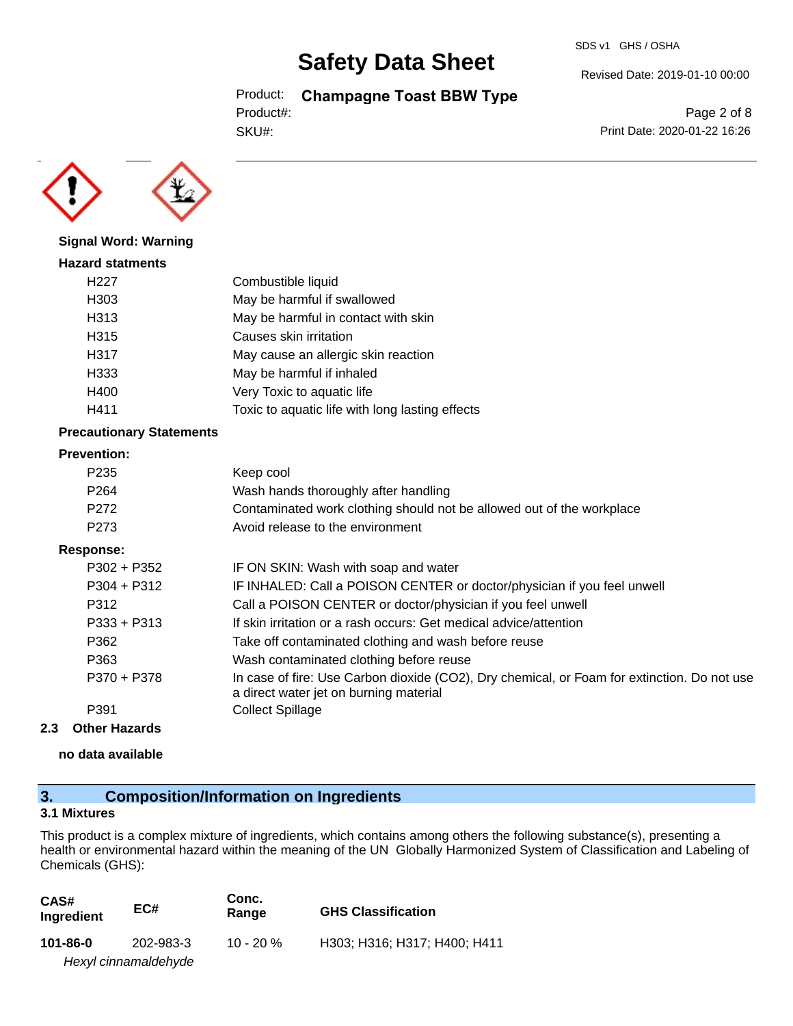#### SDS v1 GHS / OSHA

## **Safety Data Sheet**

Product: **Champagne Toast BBW Type**

SKU#: Product#: Revised Date: 2019-01-10 00:00

Page 2 of 8 Print Date: 2020-01-22 16:26



## **Signal Word: Warning Hazard statments** H227 Combustible liquid

| H <sub>303</sub> | May be harmful if swallowed                     |
|------------------|-------------------------------------------------|
| H313             | May be harmful in contact with skin             |
| H315             | Causes skin irritation                          |
| H317             | May cause an allergic skin reaction             |
| H333             | May be harmful if inhaled                       |
| H400             | Very Toxic to aquatic life                      |
| H411             | Toxic to aquatic life with long lasting effects |

#### **Precautionary Statements**

#### **Prevention:**

| P <sub>2</sub> 35 | Keep cool                                                                                                                             |
|-------------------|---------------------------------------------------------------------------------------------------------------------------------------|
| P <sub>264</sub>  | Wash hands thoroughly after handling                                                                                                  |
| P <sub>272</sub>  | Contaminated work clothing should not be allowed out of the workplace                                                                 |
| P273              | Avoid release to the environment                                                                                                      |
| Response:         |                                                                                                                                       |
| $P302 + P352$     | IF ON SKIN: Wash with soap and water                                                                                                  |
| $P304 + P312$     | IF INHALED: Call a POISON CENTER or doctor/physician if you feel unwell                                                               |
| P312              | Call a POISON CENTER or doctor/physician if you feel unwell                                                                           |
| $P333 + P313$     | If skin irritation or a rash occurs: Get medical advice/attention                                                                     |
| P362              | Take off contaminated clothing and wash before reuse                                                                                  |
| P363              | Wash contaminated clothing before reuse                                                                                               |
| P370 + P378       | In case of fire: Use Carbon dioxide (CO2), Dry chemical, or Foam for extinction. Do not use<br>a direct water jet on burning material |
| P391              | <b>Collect Spillage</b>                                                                                                               |
|                   |                                                                                                                                       |

#### **2.3 Other Hazards**

**no data available**

## **3. Composition/Information on Ingredients**

#### **3.1 Mixtures**

This product is a complex mixture of ingredients, which contains among others the following substance(s), presenting a health or environmental hazard within the meaning of the UN Globally Harmonized System of Classification and Labeling of Chemicals (GHS):

| CAS#<br>Ingredient | EC#                  | Conc.<br>Range | <b>GHS Classification</b>    |
|--------------------|----------------------|----------------|------------------------------|
| 101-86-0           | 202-983-3            | 10 - 20 $\%$   | H303: H316: H317: H400: H411 |
|                    | Hexyl cinnamaldehyde |                |                              |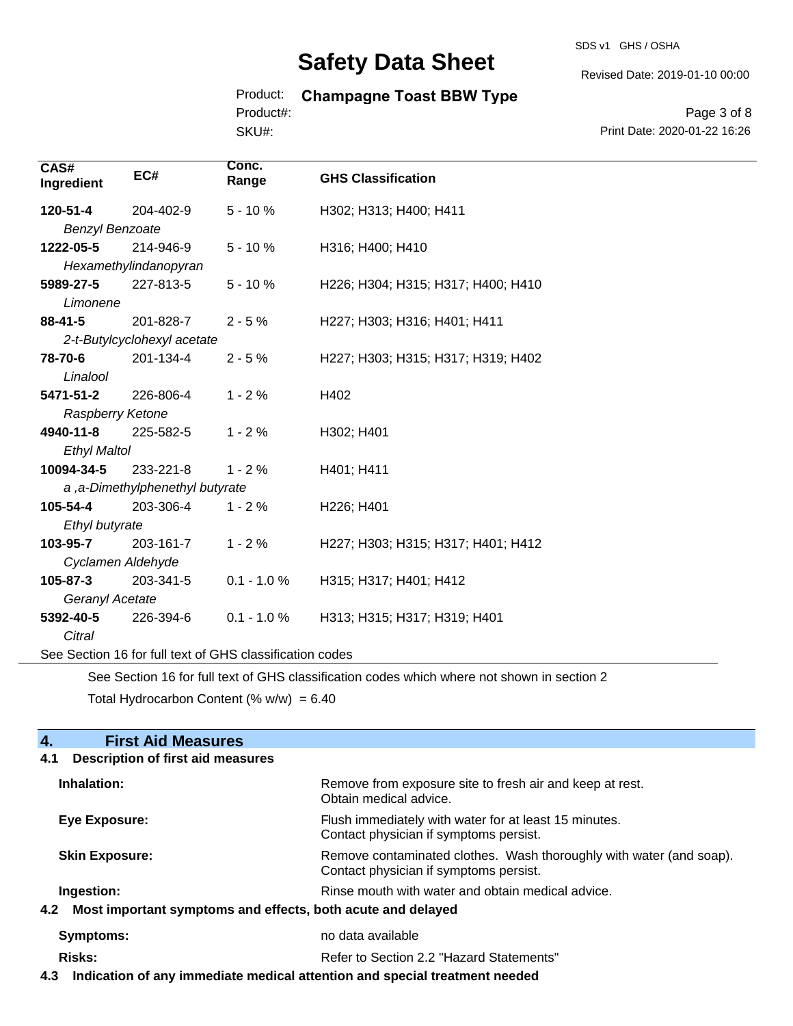SDS v1 GHS / OSHA

Revised Date: 2019-01-10 00:00

#### Product: **Champagne Toast BBW Type** Product#:

SKU#:

Page 3 of 8 Print Date: 2020-01-22 16:26

| CAS#<br>Ingredient                                       | EC#                             | Conc.<br>Range | <b>GHS Classification</b>          |
|----------------------------------------------------------|---------------------------------|----------------|------------------------------------|
| 120-51-4                                                 | 204-402-9                       | $5 - 10%$      | H302; H313; H400; H411             |
| <b>Benzyl Benzoate</b>                                   |                                 |                |                                    |
| 1222-05-5                                                | 214-946-9                       | $5 - 10%$      | H316; H400; H410                   |
|                                                          | Hexamethylindanopyran           |                |                                    |
| 5989-27-5                                                | 227-813-5                       | $5 - 10%$      | H226; H304; H315; H317; H400; H410 |
| Limonene                                                 |                                 |                |                                    |
| $88 - 41 - 5$                                            | 201-828-7                       | $2 - 5%$       | H227; H303; H316; H401; H411       |
|                                                          | 2-t-Butylcyclohexyl acetate     |                |                                    |
| 78-70-6                                                  | 201-134-4                       | $2 - 5%$       | H227; H303; H315; H317; H319; H402 |
| Linalool                                                 |                                 |                |                                    |
| 5471-51-2                                                | 226-806-4                       | $1 - 2%$       | H402                               |
| Raspberry Ketone                                         |                                 |                |                                    |
| 4940-11-8                                                | 225-582-5                       | $1 - 2%$       | H302; H401                         |
| <b>Ethyl Maltol</b>                                      |                                 |                |                                    |
| 10094-34-5                                               | 233-221-8                       | $1 - 2%$       | H401; H411                         |
|                                                          | a, a-Dimethylphenethyl butyrate |                |                                    |
| 105-54-4                                                 | 203-306-4                       | $1 - 2%$       | H226; H401                         |
| Ethyl butyrate                                           |                                 |                |                                    |
| 103-95-7                                                 | 203-161-7                       | $1 - 2%$       | H227; H303; H315; H317; H401; H412 |
| Cyclamen Aldehyde                                        |                                 |                |                                    |
| 105-87-3                                                 | 203-341-5                       | $0.1 - 1.0 %$  | H315; H317; H401; H412             |
| Geranyl Acetate                                          |                                 |                |                                    |
| 5392-40-5                                                | 226-394-6                       | $0.1 - 1.0 %$  | H313; H315; H317; H319; H401       |
| Citral                                                   |                                 |                |                                    |
| See Section 16 for full text of GHS classification codes |                                 |                |                                    |

See Section 16 for full text of GHS classification codes which where not shown in section 2

Total Hydrocarbon Content (%  $w/w$ ) = 6.40

#### **4.** First Aid Measures<br>**4.1** Description of first aid meas **4.1 Description of first aid measures**

| Inhalation:                                                     | Remove from exposure site to fresh air and keep at rest.<br>Obtain medical advice.                            |
|-----------------------------------------------------------------|---------------------------------------------------------------------------------------------------------------|
| Eye Exposure:                                                   | Flush immediately with water for at least 15 minutes.<br>Contact physician if symptoms persist.               |
| <b>Skin Exposure:</b>                                           | Remove contaminated clothes. Wash thoroughly with water (and soap).<br>Contact physician if symptoms persist. |
| Ingestion:                                                      | Rinse mouth with water and obtain medical advice.                                                             |
| 4.2 Most important symptoms and effects, both acute and delayed |                                                                                                               |
| <b>Symptoms:</b>                                                | no data available                                                                                             |
| <b>Risks:</b>                                                   | Refer to Section 2.2 "Hazard Statements"                                                                      |

**4.3 Indication of any immediate medical attention and special treatment needed**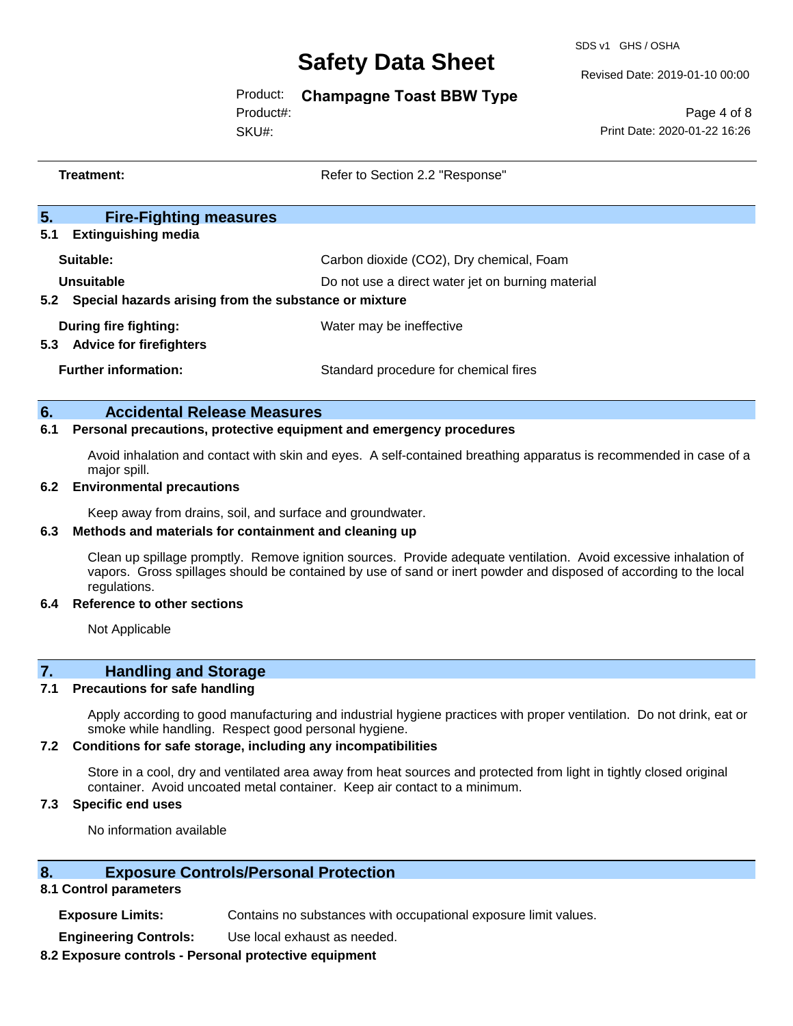SDS v1 GHS / OSHA

Revised Date: 2019-01-10 00:00

Product: **Champagne Toast BBW Type**

SKU#: Product#:

Page 4 of 8 Print Date: 2020-01-22 16:26

|     | Treatment:                                                                                                                                                                                                                                            | Refer to Section 2.2 "Response"                   |
|-----|-------------------------------------------------------------------------------------------------------------------------------------------------------------------------------------------------------------------------------------------------------|---------------------------------------------------|
| 5.  | <b>Fire-Fighting measures</b>                                                                                                                                                                                                                         |                                                   |
| 5.1 | <b>Extinguishing media</b>                                                                                                                                                                                                                            |                                                   |
|     | Suitable:                                                                                                                                                                                                                                             | Carbon dioxide (CO2), Dry chemical, Foam          |
|     | <b>Unsuitable</b>                                                                                                                                                                                                                                     | Do not use a direct water jet on burning material |
| 5.2 | Special hazards arising from the substance or mixture                                                                                                                                                                                                 |                                                   |
|     | <b>During fire fighting:</b>                                                                                                                                                                                                                          | Water may be ineffective                          |
| 5.3 | <b>Advice for firefighters</b>                                                                                                                                                                                                                        |                                                   |
|     | <b>Further information:</b>                                                                                                                                                                                                                           | Standard procedure for chemical fires             |
|     |                                                                                                                                                                                                                                                       |                                                   |
| 6.  | <b>Accidental Release Measures</b>                                                                                                                                                                                                                    |                                                   |
| 6.1 | Personal precautions, protective equipment and emergency procedures                                                                                                                                                                                   |                                                   |
|     | Avoid inhalation and contact with skin and eyes. A self-contained breathing apparatus is recommended in case of a<br>major spill.                                                                                                                     |                                                   |
| 6.2 | <b>Environmental precautions</b>                                                                                                                                                                                                                      |                                                   |
|     | Keep away from drains, soil, and surface and groundwater.                                                                                                                                                                                             |                                                   |
| 6.3 | Methods and materials for containment and cleaning up                                                                                                                                                                                                 |                                                   |
|     | Clean up spillage promptly. Remove ignition sources. Provide adequate ventilation. Avoid excessive inhalation of<br>vapors. Gross spillages should be contained by use of sand or inert powder and disposed of according to the local<br>regulations. |                                                   |
|     | 6.4 Deference to other coetions                                                                                                                                                                                                                       |                                                   |

#### **6.4 Reference to other sections**

Not Applicable

### **7. Handling and Storage**

#### **7.1 Precautions for safe handling**

Apply according to good manufacturing and industrial hygiene practices with proper ventilation. Do not drink, eat or smoke while handling. Respect good personal hygiene.

#### **7.2 Conditions for safe storage, including any incompatibilities**

Store in a cool, dry and ventilated area away from heat sources and protected from light in tightly closed original container. Avoid uncoated metal container. Keep air contact to a minimum.

#### **7.3 Specific end uses**

No information available

#### **8. Exposure Controls/Personal Protection**

#### **8.1 Control parameters**

**Exposure Limits:** Contains no substances with occupational exposure limit values.

**Engineering Controls:** Use local exhaust as needed.

#### **8.2 Exposure controls - Personal protective equipment**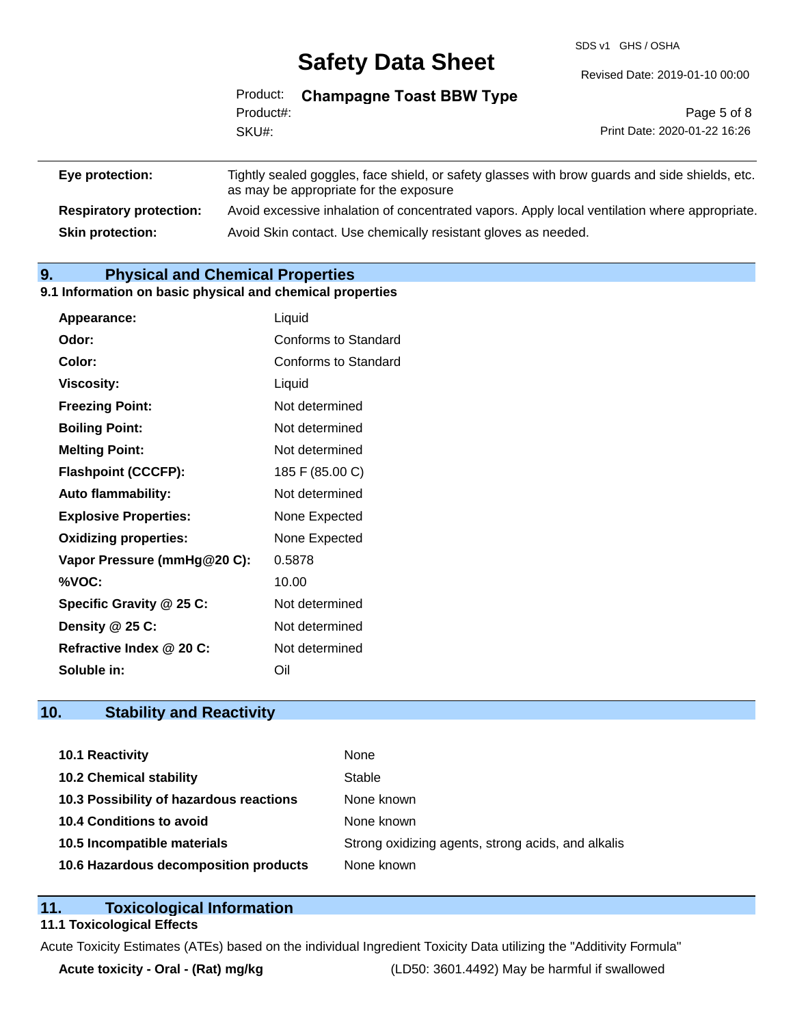SDS v1 GHS / OSHA

|           | Product: Champagne Toast BBW Type |                              |
|-----------|-----------------------------------|------------------------------|
| Product#: |                                   | Page 5 of 8                  |
| SKU#:     |                                   | Print Date: 2020-01-22 16:26 |
|           |                                   |                              |
|           |                                   |                              |

| Eye protection:                | Tightly sealed goggles, face shield, or safety glasses with brow guards and side shields, etc.<br>as may be appropriate for the exposure |
|--------------------------------|------------------------------------------------------------------------------------------------------------------------------------------|
| <b>Respiratory protection:</b> | Avoid excessive inhalation of concentrated vapors. Apply local ventilation where appropriate.                                            |
| <b>Skin protection:</b>        | Avoid Skin contact. Use chemically resistant gloves as needed.                                                                           |

### **9. Physical and Chemical Properties**

#### **9.1 Information on basic physical and chemical properties**

| Liquid                      |
|-----------------------------|
| <b>Conforms to Standard</b> |
| Conforms to Standard        |
| Liquid                      |
| Not determined              |
| Not determined              |
| Not determined              |
| 185 F (85.00 C)             |
| Not determined              |
| None Expected               |
| None Expected               |
| 0.5878                      |
| 10.00                       |
| Not determined              |
| Not determined              |
| Not determined              |
| Oil                         |
|                             |

## **10. Stability and Reactivity**

| 10.1 Reactivity                         | None                                               |
|-----------------------------------------|----------------------------------------------------|
| <b>10.2 Chemical stability</b>          | Stable                                             |
| 10.3 Possibility of hazardous reactions | None known                                         |
| 10.4 Conditions to avoid                | None known                                         |
| 10.5 Incompatible materials             | Strong oxidizing agents, strong acids, and alkalis |
| 10.6 Hazardous decomposition products   | None known                                         |

#### **11. Toxicological Information**

#### **11.1 Toxicological Effects**

Acute Toxicity Estimates (ATEs) based on the individual Ingredient Toxicity Data utilizing the "Additivity Formula"

**Acute toxicity - Oral - (Rat) mg/kg** (LD50: 3601.4492) May be harmful if swallowed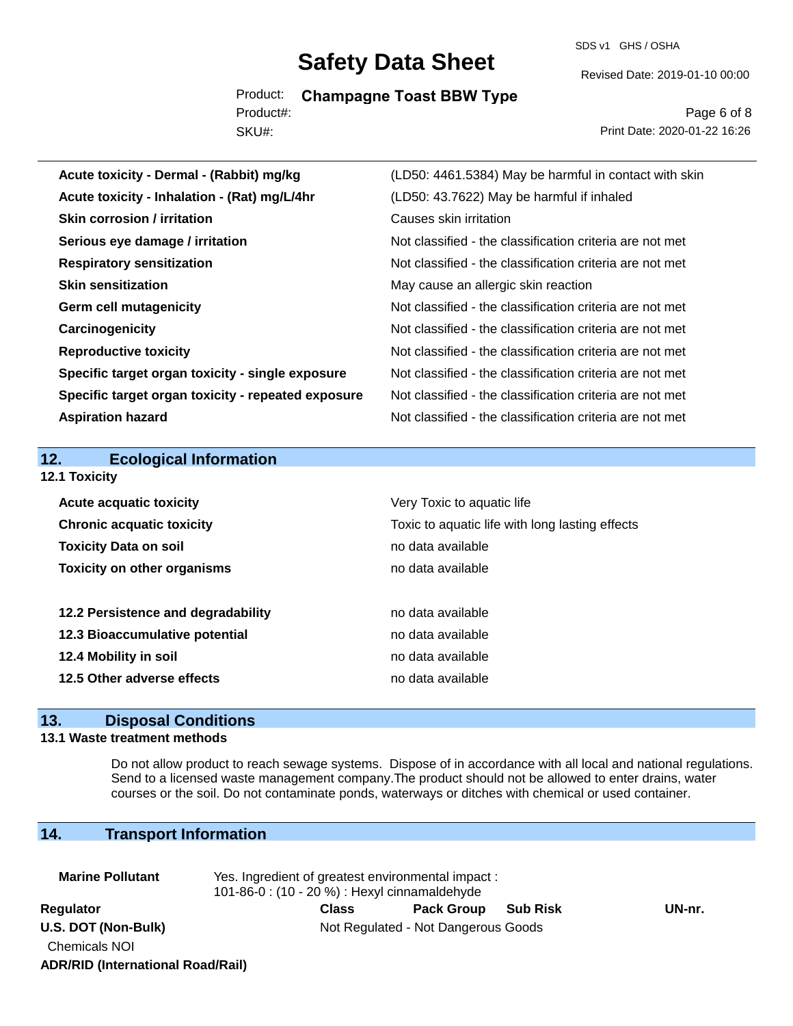Product: **Champagne Toast BBW Type** SKU#: Product#:

SDS v1 GHS / OSHA

Revised Date: 2019-01-10 00:00

Page 6 of 8 Print Date: 2020-01-22 16:26

| (LD50: 4461.5384) May be harmful in contact with skin    |
|----------------------------------------------------------|
| (LD50: 43.7622) May be harmful if inhaled                |
| Causes skin irritation                                   |
| Not classified - the classification criteria are not met |
| Not classified - the classification criteria are not met |
| May cause an allergic skin reaction                      |
| Not classified - the classification criteria are not met |
| Not classified - the classification criteria are not met |
| Not classified - the classification criteria are not met |
| Not classified - the classification criteria are not met |
| Not classified - the classification criteria are not met |
| Not classified - the classification criteria are not met |
|                                                          |
|                                                          |
|                                                          |
|                                                          |
| Very Toxic to aquatic life                               |
| Toxic to aquatic life with long lasting effects          |
| no data available                                        |
| no data available                                        |
|                                                          |
| no data available                                        |
| no data available                                        |
| no data available                                        |
| no data available                                        |
|                                                          |

## **13. Disposal Conditions**

#### **13.1 Waste treatment methods**

Do not allow product to reach sewage systems. Dispose of in accordance with all local and national regulations. Send to a licensed waste management company.The product should not be allowed to enter drains, water courses or the soil. Do not contaminate ponds, waterways or ditches with chemical or used container.

### **14. Transport Information**

| <b>Marine Pollutant</b>                  | Yes. Ingredient of greatest environmental impact:<br>101-86-0: (10 - 20 %) : Hexyl cinnamaldehyde |              |                   |                 |        |
|------------------------------------------|---------------------------------------------------------------------------------------------------|--------------|-------------------|-----------------|--------|
| Regulator                                |                                                                                                   | <b>Class</b> | <b>Pack Group</b> | <b>Sub Risk</b> | UN-nr. |
| U.S. DOT (Non-Bulk)                      | Not Regulated - Not Dangerous Goods                                                               |              |                   |                 |        |
| <b>Chemicals NOI</b>                     |                                                                                                   |              |                   |                 |        |
| <b>ADR/RID (International Road/Rail)</b> |                                                                                                   |              |                   |                 |        |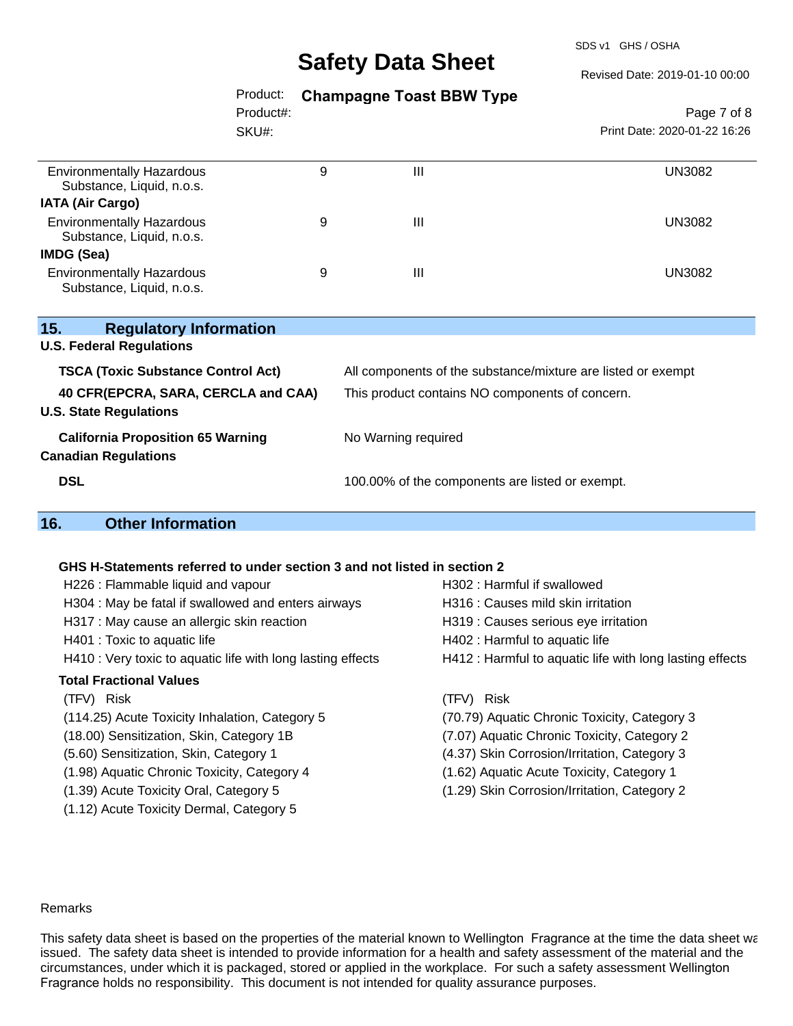SDS v1 GHS / OSHA

Revised Date: 2019-01-10 00:00

### Product: **Champagne Toast BBW Type**

|                                                               | Product#: |   |                | Page 7 of 8                  |  |
|---------------------------------------------------------------|-----------|---|----------------|------------------------------|--|
|                                                               | SKU#:     |   |                | Print Date: 2020-01-22 16:26 |  |
| <b>Environmentally Hazardous</b><br>Substance, Liquid, n.o.s. |           | 9 | $\mathbf{III}$ | <b>UN3082</b>                |  |
| <b>IATA (Air Cargo)</b>                                       |           |   |                |                              |  |
| <b>Environmentally Hazardous</b><br>Substance, Liquid, n.o.s. |           | 9 | $\mathbf{III}$ | UN3082                       |  |
| IMDG (Sea)                                                    |           |   |                |                              |  |
| <b>Environmentally Hazardous</b><br>Substance, Liquid, n.o.s. |           | 9 | $\mathbf{III}$ | <b>UN3082</b>                |  |

| 15.<br><b>Regulatory Information</b><br><b>U.S. Federal Regulations</b>                                           |                                                                                                                 |
|-------------------------------------------------------------------------------------------------------------------|-----------------------------------------------------------------------------------------------------------------|
| <b>TSCA (Toxic Substance Control Act)</b><br>40 CFR(EPCRA, SARA, CERCLA and CAA)<br><b>U.S. State Regulations</b> | All components of the substance/mixture are listed or exempt<br>This product contains NO components of concern. |
| <b>California Proposition 65 Warning</b><br><b>Canadian Regulations</b>                                           | No Warning required                                                                                             |
| <b>DSL</b>                                                                                                        | 100.00% of the components are listed or exempt.                                                                 |

### **16. Other Information**

#### **GHS H-Statements referred to under section 3 and not listed in section 2**

| H226 : Flammable liquid and vapour                          | H302: Harmful if swallowed                               |
|-------------------------------------------------------------|----------------------------------------------------------|
| H304 : May be fatal if swallowed and enters airways         | H316 : Causes mild skin irritation                       |
| H317 : May cause an allergic skin reaction                  | H319 : Causes serious eye irritation                     |
| H401 : Toxic to aquatic life                                | H402 : Harmful to aquatic life                           |
| H410 : Very toxic to aquatic life with long lasting effects | H412 : Harmful to aquatic life with long lasting effects |
| <b>Total Fractional Values</b>                              |                                                          |
| (TFV) Risk                                                  | <b>Risk</b><br>(TFV).                                    |
| (114.25) Acute Toxicity Inhalation, Category 5              | (70.79) Aquatic Chronic Toxicity, Category 3             |
| (18.00) Sensitization, Skin, Category 1B                    | (7.07) Aquatic Chronic Toxicity, Category 2              |
| (5.60) Sensitization, Skin, Category 1                      | (4.37) Skin Corrosion/Irritation, Category 3             |
| (1.98) Aquatic Chronic Toxicity, Category 4                 | (1.62) Aquatic Acute Toxicity, Category 1                |
| (1.39) Acute Toxicity Oral, Category 5                      | (1.29) Skin Corrosion/Irritation, Category 2             |
| (1.12) Acute Toxicity Dermal, Category 5                    |                                                          |

#### Remarks

This safety data sheet is based on the properties of the material known to Wellington Fragrance at the time the data sheet wa issued. The safety data sheet is intended to provide information for a health and safety assessment of the material and the circumstances, under which it is packaged, stored or applied in the workplace. For such a safety assessment Wellington Fragrance holds no responsibility. This document is not intended for quality assurance purposes.